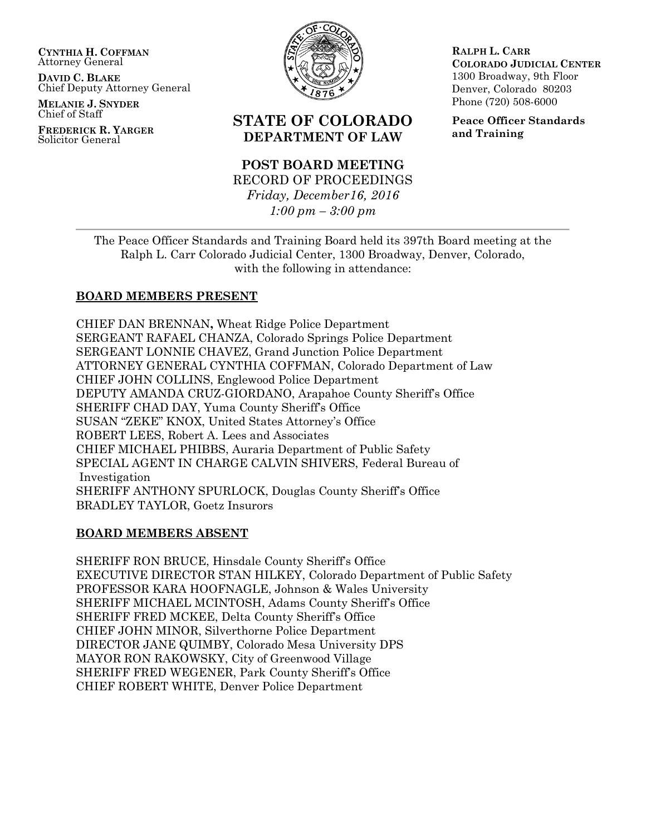**CYNTHIA H. COFFMAN** Attorney General

**DAVID C. BLAKE** Chief Deputy Attorney General

**MELANIE J. SNYDER** Chief of Staff

**FREDERICK R. YARGER** Solicitor General



# **STATE OF COLORADO DEPARTMENT OF LAW**

# **POST BOARD MEETING** RECORD OF PROCEEDINGS *Friday, December16, 2016 1:00 pm – 3:00 pm*

**RALPH L. CARR COLORADO JUDICIAL CENTER** 1300 Broadway, 9th Floor Denver, Colorado 80203 Phone (720) 508-6000

**Peace Officer Standards and Training**

The Peace Officer Standards and Training Board held its 397th Board meeting at the Ralph L. Carr Colorado Judicial Center, 1300 Broadway, Denver, Colorado, with the following in attendance:

# **BOARD MEMBERS PRESENT**

CHIEF DAN BRENNAN**,** Wheat Ridge Police Department SERGEANT RAFAEL CHANZA, Colorado Springs Police Department SERGEANT LONNIE CHAVEZ, Grand Junction Police Department ATTORNEY GENERAL CYNTHIA COFFMAN, Colorado Department of Law CHIEF JOHN COLLINS, Englewood Police Department DEPUTY AMANDA CRUZ-GIORDANO, Arapahoe County Sheriff's Office SHERIFF CHAD DAY, Yuma County Sheriff's Office SUSAN "ZEKE" KNOX, United States Attorney's Office ROBERT LEES, Robert A. Lees and Associates CHIEF MICHAEL PHIBBS, Auraria Department of Public Safety SPECIAL AGENT IN CHARGE CALVIN SHIVERS, Federal Bureau of Investigation SHERIFF ANTHONY SPURLOCK, Douglas County Sheriff's Office BRADLEY TAYLOR, Goetz Insurors

### **BOARD MEMBERS ABSENT**

SHERIFF RON BRUCE, Hinsdale County Sheriff's Office EXECUTIVE DIRECTOR STAN HILKEY, Colorado Department of Public Safety PROFESSOR KARA HOOFNAGLE, Johnson & Wales University SHERIFF MICHAEL MCINTOSH, Adams County Sheriff's Office SHERIFF FRED MCKEE, Delta County Sheriff's Office CHIEF JOHN MINOR, Silverthorne Police Department DIRECTOR JANE QUIMBY, Colorado Mesa University DPS MAYOR RON RAKOWSKY, City of Greenwood Village SHERIFF FRED WEGENER, Park County Sheriff's Office CHIEF ROBERT WHITE, Denver Police Department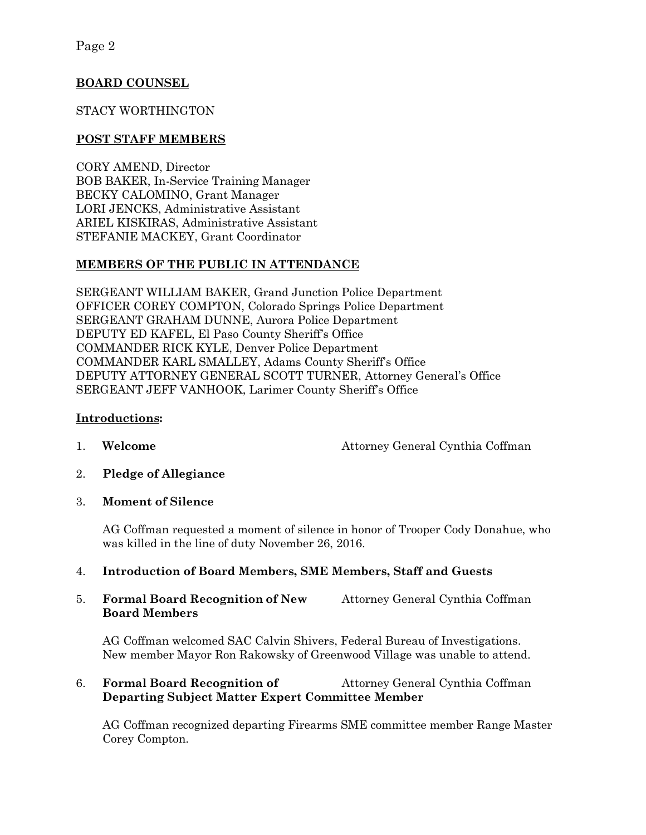# **BOARD COUNSEL**

# STACY WORTHINGTON

# **POST STAFF MEMBERS**

CORY AMEND, Director BOB BAKER, In-Service Training Manager BECKY CALOMINO, Grant Manager LORI JENCKS, Administrative Assistant ARIEL KISKIRAS, Administrative Assistant STEFANIE MACKEY, Grant Coordinator

# **MEMBERS OF THE PUBLIC IN ATTENDANCE**

SERGEANT WILLIAM BAKER, Grand Junction Police Department OFFICER COREY COMPTON, Colorado Springs Police Department SERGEANT GRAHAM DUNNE, Aurora Police Department DEPUTY ED KAFEL, El Paso County Sheriff's Office COMMANDER RICK KYLE, Denver Police Department COMMANDER KARL SMALLEY, Adams County Sheriff's Office DEPUTY ATTORNEY GENERAL SCOTT TURNER, Attorney General's Office SERGEANT JEFF VANHOOK, Larimer County Sheriff's Office

### **Introductions:**

1. **Welcome** Attorney General Cynthia Coffman

- 2. **Pledge of Allegiance**
- 3. **Moment of Silence**

AG Coffman requested a moment of silence in honor of Trooper Cody Donahue, who was killed in the line of duty November 26, 2016.

### 4. **Introduction of Board Members, SME Members, Staff and Guests**

5. **Formal Board Recognition of New** Attorney General Cynthia Coffman **Board Members**

AG Coffman welcomed SAC Calvin Shivers, Federal Bureau of Investigations. New member Mayor Ron Rakowsky of Greenwood Village was unable to attend.

# 6. **Formal Board Recognition of** Attorney General Cynthia Coffman **Departing Subject Matter Expert Committee Member**

AG Coffman recognized departing Firearms SME committee member Range Master Corey Compton.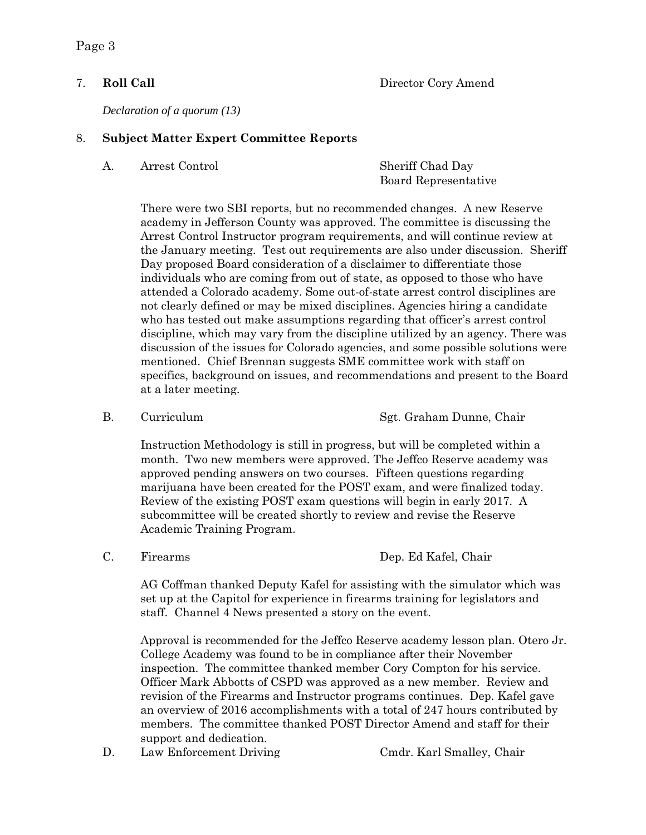Page 3

### 7. **Roll Call** Director Cory Amend

*Declaration of a quorum (13)*

#### 8. **Subject Matter Expert Committee Reports**

A. Arrest Control Sheriff Chad Day

Board Representative

There were two SBI reports, but no recommended changes. A new Reserve academy in Jefferson County was approved. The committee is discussing the Arrest Control Instructor program requirements, and will continue review at the January meeting. Test out requirements are also under discussion. Sheriff Day proposed Board consideration of a disclaimer to differentiate those individuals who are coming from out of state, as opposed to those who have attended a Colorado academy. Some out-of-state arrest control disciplines are not clearly defined or may be mixed disciplines. Agencies hiring a candidate who has tested out make assumptions regarding that officer's arrest control discipline, which may vary from the discipline utilized by an agency. There was discussion of the issues for Colorado agencies, and some possible solutions were mentioned. Chief Brennan suggests SME committee work with staff on specifics, background on issues, and recommendations and present to the Board at a later meeting.

B. Curriculum Sgt. Graham Dunne, Chair

Instruction Methodology is still in progress, but will be completed within a month. Two new members were approved. The Jeffco Reserve academy was approved pending answers on two courses. Fifteen questions regarding marijuana have been created for the POST exam, and were finalized today. Review of the existing POST exam questions will begin in early 2017. A subcommittee will be created shortly to review and revise the Reserve Academic Training Program.

AG Coffman thanked Deputy Kafel for assisting with the simulator which was set up at the Capitol for experience in firearms training for legislators and staff. Channel 4 News presented a story on the event.

Approval is recommended for the Jeffco Reserve academy lesson plan. Otero Jr. College Academy was found to be in compliance after their November inspection. The committee thanked member Cory Compton for his service. Officer Mark Abbotts of CSPD was approved as a new member. Review and revision of the Firearms and Instructor programs continues. Dep. Kafel gave an overview of 2016 accomplishments with a total of 247 hours contributed by members. The committee thanked POST Director Amend and staff for their support and dedication.

D. Law Enforcement Driving Cmdr. Karl Smalley, Chair

C. Firearms Dep. Ed Kafel, Chair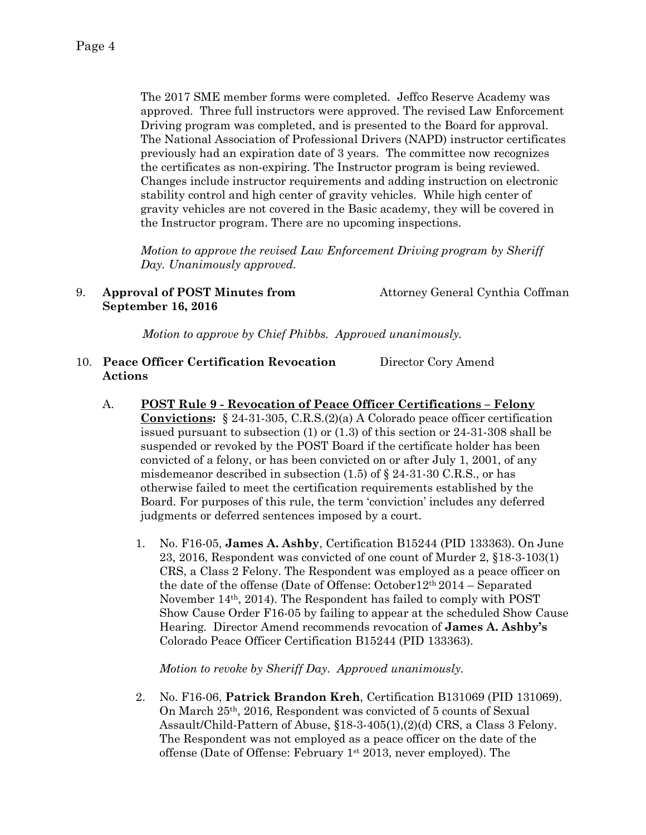The 2017 SME member forms were completed. Jeffco Reserve Academy was approved. Three full instructors were approved. The revised Law Enforcement Driving program was completed, and is presented to the Board for approval. The National Association of Professional Drivers (NAPD) instructor certificates previously had an expiration date of 3 years. The committee now recognizes the certificates as non-expiring. The Instructor program is being reviewed. Changes include instructor requirements and adding instruction on electronic stability control and high center of gravity vehicles. While high center of gravity vehicles are not covered in the Basic academy, they will be covered in the Instructor program. There are no upcoming inspections.

*Motion to approve the revised Law Enforcement Driving program by Sheriff Day. Unanimously approved.* 

### 9. **Approval of POST Minutes from** Attorney General Cynthia Coffman  **September 16, 2016**

*Motion to approve by Chief Phibbs. Approved unanimously.*

- 10. **Peace Officer Certification Revocation** Director Cory Amend **Actions**
	- A. **POST Rule 9 - Revocation of Peace Officer Certifications – Felony Convictions:** § 24-31-305, C.R.S.(2)(a) A Colorado peace officer certification issued pursuant to subsection (1) or (1.3) of this section or 24-31-308 shall be suspended or revoked by the POST Board if the certificate holder has been convicted of a felony, or has been convicted on or after July 1, 2001, of any misdemeanor described in subsection  $(1.5)$  of  $\S$  24-31-30 C.R.S., or has otherwise failed to meet the certification requirements established by the Board. For purposes of this rule, the term 'conviction' includes any deferred judgments or deferred sentences imposed by a court.
		- 1. No. F16-05, **James A. Ashby**, Certification B15244 (PID 133363). On June 23, 2016, Respondent was convicted of one count of Murder 2, §18-3-103(1) CRS, a Class 2 Felony. The Respondent was employed as a peace officer on the date of the offense (Date of Offense: October12th 2014 – Separated November 14th, 2014). The Respondent has failed to comply with POST Show Cause Order F16-05 by failing to appear at the scheduled Show Cause Hearing. Director Amend recommends revocation of **James A. Ashby's** Colorado Peace Officer Certification B15244 (PID 133363).

*Motion to revoke by Sheriff Day. Approved unanimously.*

2. No. F16-06, **Patrick Brandon Kreh**, Certification B131069 (PID 131069). On March 25th, 2016, Respondent was convicted of 5 counts of Sexual Assault/Child-Pattern of Abuse, §18-3-405(1),(2)(d) CRS, a Class 3 Felony. The Respondent was not employed as a peace officer on the date of the offense (Date of Offense: February 1st 2013, never employed). The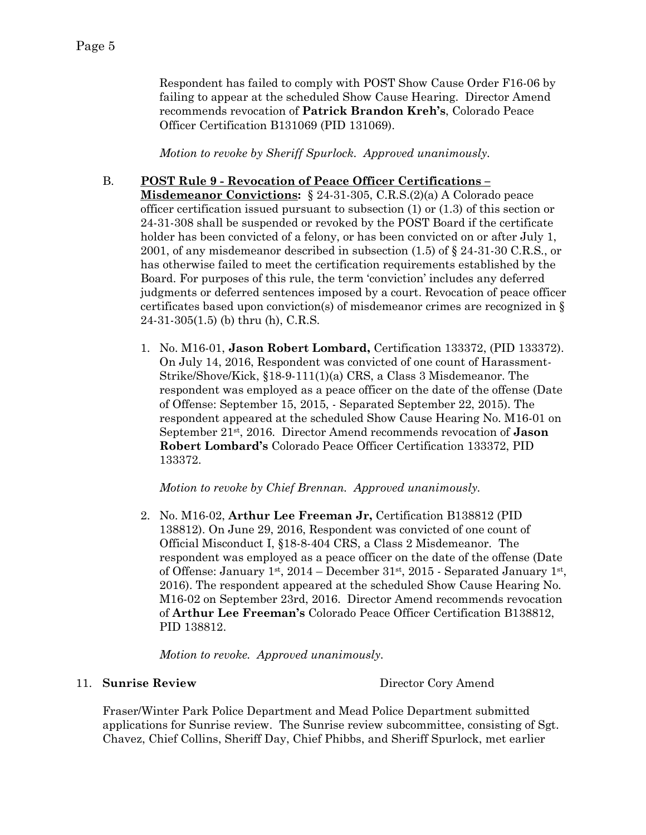Respondent has failed to comply with POST Show Cause Order F16-06 by failing to appear at the scheduled Show Cause Hearing. Director Amend recommends revocation of **Patrick Brandon Kreh's**, Colorado Peace Officer Certification B131069 (PID 131069).

*Motion to revoke by Sheriff Spurlock. Approved unanimously.*

# B. **POST Rule 9 - Revocation of Peace Officer Certifications –**

**Misdemeanor Convictions:** § 24-31-305, C.R.S.(2)(a) A Colorado peace officer certification issued pursuant to subsection (1) or (1.3) of this section or 24-31-308 shall be suspended or revoked by the POST Board if the certificate holder has been convicted of a felony, or has been convicted on or after July 1, 2001, of any misdemeanor described in subsection (1.5) of § 24-31-30 C.R.S., or has otherwise failed to meet the certification requirements established by the Board. For purposes of this rule, the term 'conviction' includes any deferred judgments or deferred sentences imposed by a court. Revocation of peace officer certificates based upon conviction(s) of misdemeanor crimes are recognized in § 24-31-305(1.5) (b) thru (h), C.R.S.

1. No. M16-01, **Jason Robert Lombard,** Certification 133372, (PID 133372). On July 14, 2016, Respondent was convicted of one count of Harassment-Strike/Shove/Kick, §18-9-111(1)(a) CRS, a Class 3 Misdemeanor. The respondent was employed as a peace officer on the date of the offense (Date of Offense: September 15, 2015, - Separated September 22, 2015). The respondent appeared at the scheduled Show Cause Hearing No. M16-01 on September 21st, 2016. Director Amend recommends revocation of **Jason Robert Lombard's** Colorado Peace Officer Certification 133372, PID 133372.

*Motion to revoke by Chief Brennan. Approved unanimously.*

2. No. M16-02, **Arthur Lee Freeman Jr,** Certification B138812 (PID 138812). On June 29, 2016, Respondent was convicted of one count of Official Misconduct I, §18-8-404 CRS, a Class 2 Misdemeanor. The respondent was employed as a peace officer on the date of the offense (Date of Offense: January 1st, 2014 – December 31st, 2015 - Separated January 1st, 2016). The respondent appeared at the scheduled Show Cause Hearing No. M16-02 on September 23rd, 2016. Director Amend recommends revocation of **Arthur Lee Freeman's** Colorado Peace Officer Certification B138812, PID 138812.

*Motion to revoke. Approved unanimously.*

### 11. **Sunrise Review** Director Cory Amend

Fraser/Winter Park Police Department and Mead Police Department submitted applications for Sunrise review. The Sunrise review subcommittee, consisting of Sgt. Chavez, Chief Collins, Sheriff Day, Chief Phibbs, and Sheriff Spurlock, met earlier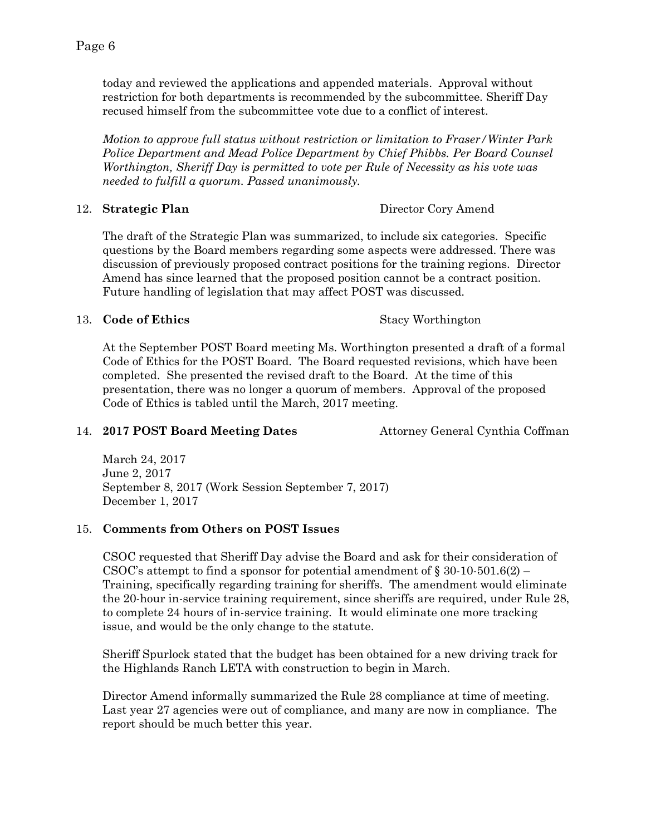today and reviewed the applications and appended materials. Approval without restriction for both departments is recommended by the subcommittee. Sheriff Day recused himself from the subcommittee vote due to a conflict of interest.

*Motion to approve full status without restriction or limitation to Fraser/Winter Park Police Department and Mead Police Department by Chief Phibbs. Per Board Counsel Worthington, Sheriff Day is permitted to vote per Rule of Necessity as his vote was needed to fulfill a quorum. Passed unanimously.* 

12. **Strategic Plan** Director Cory Amend

The draft of the Strategic Plan was summarized, to include six categories. Specific questions by the Board members regarding some aspects were addressed. There was discussion of previously proposed contract positions for the training regions. Director Amend has since learned that the proposed position cannot be a contract position. Future handling of legislation that may affect POST was discussed.

### 13. **Code of Ethics** Stacy Worthington

At the September POST Board meeting Ms. Worthington presented a draft of a formal Code of Ethics for the POST Board. The Board requested revisions, which have been completed. She presented the revised draft to the Board. At the time of this presentation, there was no longer a quorum of members. Approval of the proposed Code of Ethics is tabled until the March, 2017 meeting.

# 14. **2017 POST Board Meeting Dates** Attorney General Cynthia Coffman

March 24, 2017 June 2, 2017 September 8, 2017 (Work Session September 7, 2017) December 1, 2017

# 15. **Comments from Others on POST Issues**

CSOC requested that Sheriff Day advise the Board and ask for their consideration of CSOC's attempt to find a sponsor for potential amendment of  $\S 30-10-501.6(2)$ Training, specifically regarding training for sheriffs. The amendment would eliminate the 20-hour in-service training requirement, since sheriffs are required, under Rule 28, to complete 24 hours of in-service training. It would eliminate one more tracking issue, and would be the only change to the statute.

Sheriff Spurlock stated that the budget has been obtained for a new driving track for the Highlands Ranch LETA with construction to begin in March.

Director Amend informally summarized the Rule 28 compliance at time of meeting. Last year 27 agencies were out of compliance, and many are now in compliance. The report should be much better this year.